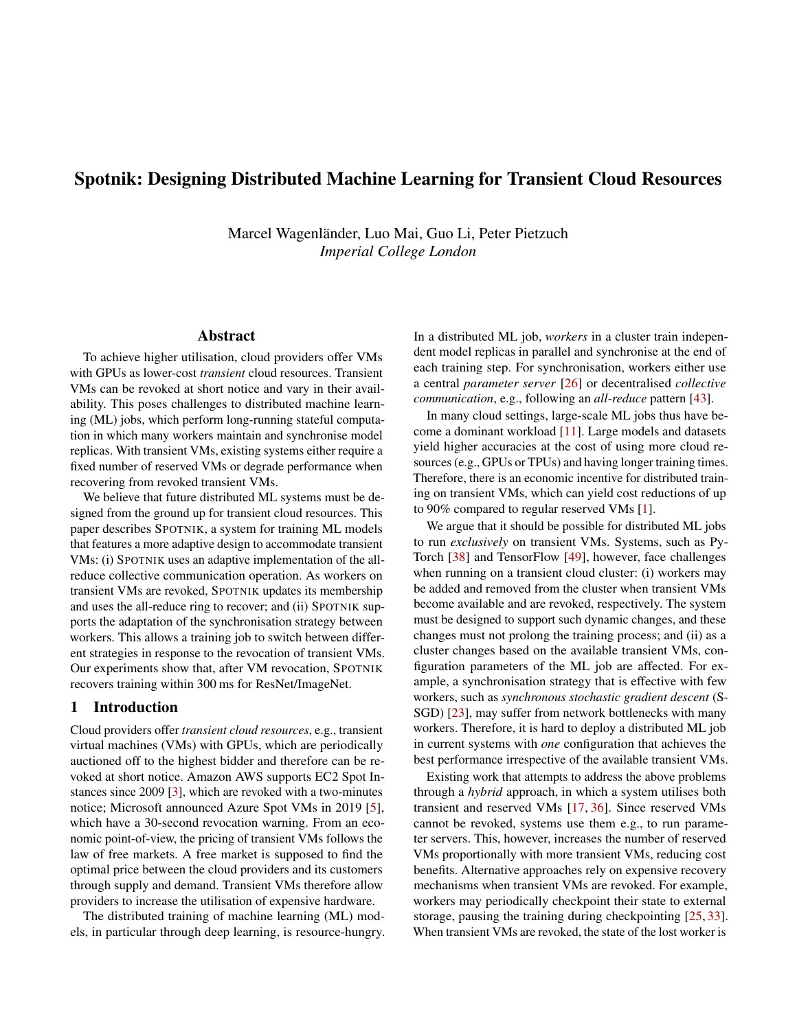# Spotnik: Designing Distributed Machine Learning for Transient Cloud Resources

Marcel Wagenländer, Luo Mai, Guo Li, Peter Pietzuch *Imperial College London*

## Abstract

To achieve higher utilisation, cloud providers offer VMs with GPUs as lower-cost *transient* cloud resources. Transient VMs can be revoked at short notice and vary in their availability. This poses challenges to distributed machine learning (ML) jobs, which perform long-running stateful computation in which many workers maintain and synchronise model replicas. With transient VMs, existing systems either require a fixed number of reserved VMs or degrade performance when recovering from revoked transient VMs.

We believe that future distributed ML systems must be designed from the ground up for transient cloud resources. This paper describes SPOTNIK, a system for training ML models that features a more adaptive design to accommodate transient VMs: (i) SPOTNIK uses an adaptive implementation of the allreduce collective communication operation. As workers on transient VMs are revoked, SPOTNIK updates its membership and uses the all-reduce ring to recover; and (ii) SPOTNIK supports the adaptation of the synchronisation strategy between workers. This allows a training job to switch between different strategies in response to the revocation of transient VMs. Our experiments show that, after VM revocation, SPOTNIK recovers training within 300 ms for ResNet/ImageNet.

# 1 Introduction

Cloud providers offer *transient cloud resources*, e.g., transient virtual machines (VMs) with GPUs, which are periodically auctioned off to the highest bidder and therefore can be revoked at short notice. Amazon AWS supports EC2 Spot Instances since 2009 [\[3\]](#page-5-0), which are revoked with a two-minutes notice; Microsoft announced Azure Spot VMs in 2019 [\[5\]](#page-5-1), which have a 30-second revocation warning. From an economic point-of-view, the pricing of transient VMs follows the law of free markets. A free market is supposed to find the optimal price between the cloud providers and its customers through supply and demand. Transient VMs therefore allow providers to increase the utilisation of expensive hardware.

The distributed training of machine learning (ML) models, in particular through deep learning, is resource-hungry. In a distributed ML job, *workers* in a cluster train independent model replicas in parallel and synchronise at the end of each training step. For synchronisation, workers either use a central *parameter server* [\[26\]](#page-6-0) or decentralised *collective communication*, e.g., following an *all-reduce* pattern [\[43\]](#page-7-0).

In many cloud settings, large-scale ML jobs thus have become a dominant workload [\[11\]](#page-5-2). Large models and datasets yield higher accuracies at the cost of using more cloud resources (e.g., GPUs or TPUs) and having longer training times. Therefore, there is an economic incentive for distributed training on transient VMs, which can yield cost reductions of up to 90% compared to regular reserved VMs [\[1\]](#page-5-3).

We argue that it should be possible for distributed ML jobs to run *exclusively* on transient VMs. Systems, such as Py-Torch [\[38\]](#page-6-1) and TensorFlow [\[49\]](#page-7-1), however, face challenges when running on a transient cloud cluster: (i) workers may be added and removed from the cluster when transient VMs become available and are revoked, respectively. The system must be designed to support such dynamic changes, and these changes must not prolong the training process; and (ii) as a cluster changes based on the available transient VMs, configuration parameters of the ML job are affected. For example, a synchronisation strategy that is effective with few workers, such as *synchronous stochastic gradient descent* (S-SGD) [\[23\]](#page-6-2), may suffer from network bottlenecks with many workers. Therefore, it is hard to deploy a distributed ML job in current systems with *one* configuration that achieves the best performance irrespective of the available transient VMs.

Existing work that attempts to address the above problems through a *hybrid* approach, in which a system utilises both transient and reserved VMs [\[17,](#page-6-3) [36\]](#page-6-4). Since reserved VMs cannot be revoked, systems use them e.g., to run parameter servers. This, however, increases the number of reserved VMs proportionally with more transient VMs, reducing cost benefits. Alternative approaches rely on expensive recovery mechanisms when transient VMs are revoked. For example, workers may periodically checkpoint their state to external storage, pausing the training during checkpointing [\[25,](#page-6-5) [33\]](#page-6-6). When transient VMs are revoked, the state of the lost worker is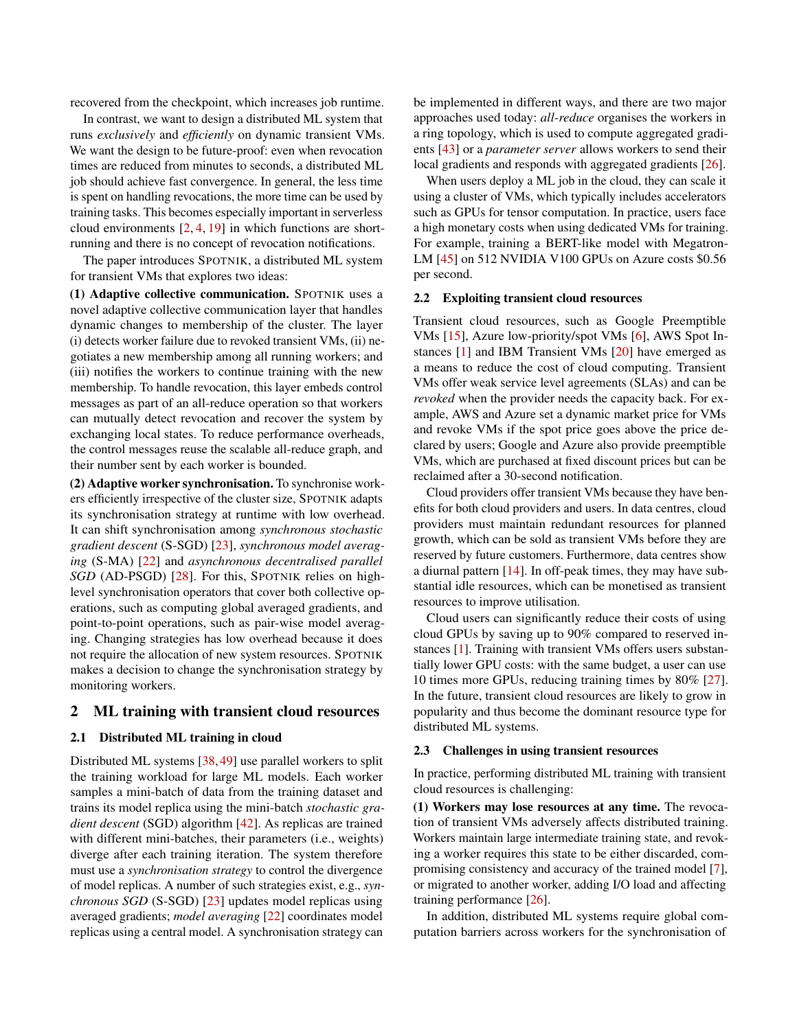recovered from the checkpoint, which increases job runtime.

In contrast, we want to design a distributed ML system that runs *exclusively* and *efficiently* on dynamic transient VMs. We want the design to be future-proof: even when revocation times are reduced from minutes to seconds, a distributed ML job should achieve fast convergence. In general, the less time is spent on handling revocations, the more time can be used by training tasks. This becomes especially important in serverless cloud environments  $[2, 4, 19]$  $[2, 4, 19]$  $[2, 4, 19]$  $[2, 4, 19]$  $[2, 4, 19]$  in which functions are shortrunning and there is no concept of revocation notifications.

The paper introduces SPOTNIK, a distributed ML system for transient VMs that explores two ideas:

(1) Adaptive collective communication. SPOTNIK uses a novel adaptive collective communication layer that handles dynamic changes to membership of the cluster. The layer (i) detects worker failure due to revoked transient VMs, (ii) negotiates a new membership among all running workers; and (iii) notifies the workers to continue training with the new membership. To handle revocation, this layer embeds control messages as part of an all-reduce operation so that workers can mutually detect revocation and recover the system by exchanging local states. To reduce performance overheads, the control messages reuse the scalable all-reduce graph, and their number sent by each worker is bounded.

(2) Adaptive worker synchronisation. To synchronise workers efficiently irrespective of the cluster size, SPOTNIK adapts its synchronisation strategy at runtime with low overhead. It can shift synchronisation among *synchronous stochastic gradient descent* (S-SGD) [\[23\]](#page-6-2), *synchronous model averaging* (S-MA) [\[22\]](#page-6-8) and *asynchronous decentralised parallel SGD* (AD-PSGD) [\[28\]](#page-6-9). For this, SPOTNIK relies on highlevel synchronisation operators that cover both collective operations, such as computing global averaged gradients, and point-to-point operations, such as pair-wise model averaging. Changing strategies has low overhead because it does not require the allocation of new system resources. SPOTNIK makes a decision to change the synchronisation strategy by monitoring workers.

## 2 ML training with transient cloud resources

### 2.1 Distributed ML training in cloud

Distributed ML systems [\[38,](#page-6-1) [49\]](#page-7-1) use parallel workers to split the training workload for large ML models. Each worker samples a mini-batch of data from the training dataset and trains its model replica using the mini-batch *stochastic gradient descent* (SGD) algorithm [\[42\]](#page-7-2). As replicas are trained with different mini-batches, their parameters (i.e., weights) diverge after each training iteration. The system therefore must use a *synchronisation strategy* to control the divergence of model replicas. A number of such strategies exist, e.g., *synchronous SGD* (S-SGD) [\[23\]](#page-6-2) updates model replicas using averaged gradients; *model averaging* [\[22\]](#page-6-8) coordinates model replicas using a central model. A synchronisation strategy can

be implemented in different ways, and there are two major approaches used today: *all-reduce* organises the workers in a ring topology, which is used to compute aggregated gradients [\[43\]](#page-7-0) or a *parameter server* allows workers to send their local gradients and responds with aggregated gradients [\[26\]](#page-6-0).

When users deploy a ML job in the cloud, they can scale it using a cluster of VMs, which typically includes accelerators such as GPUs for tensor computation. In practice, users face a high monetary costs when using dedicated VMs for training. For example, training a BERT-like model with Megatron-LM [\[45\]](#page-7-3) on 512 NVIDIA V100 GPUs on Azure costs \$0.56 per second.

#### 2.2 Exploiting transient cloud resources

Transient cloud resources, such as Google Preemptible VMs [\[15\]](#page-6-10), Azure low-priority/spot VMs [\[6\]](#page-5-6), AWS Spot Instances [\[1\]](#page-5-3) and IBM Transient VMs [\[20\]](#page-6-11) have emerged as a means to reduce the cost of cloud computing. Transient VMs offer weak service level agreements (SLAs) and can be *revoked* when the provider needs the capacity back. For example, AWS and Azure set a dynamic market price for VMs and revoke VMs if the spot price goes above the price declared by users; Google and Azure also provide preemptible VMs, which are purchased at fixed discount prices but can be reclaimed after a 30-second notification.

Cloud providers offer transient VMs because they have benefits for both cloud providers and users. In data centres, cloud providers must maintain redundant resources for planned growth, which can be sold as transient VMs before they are reserved by future customers. Furthermore, data centres show a diurnal pattern [\[14\]](#page-6-12). In off-peak times, they may have substantial idle resources, which can be monetised as transient resources to improve utilisation.

Cloud users can significantly reduce their costs of using cloud GPUs by saving up to 90% compared to reserved instances [\[1\]](#page-5-3). Training with transient VMs offers users substantially lower GPU costs: with the same budget, a user can use 10 times more GPUs, reducing training times by 80% [\[27\]](#page-6-13). In the future, transient cloud resources are likely to grow in popularity and thus become the dominant resource type for distributed ML systems.

## 2.3 Challenges in using transient resources

In practice, performing distributed ML training with transient cloud resources is challenging:

(1) Workers may lose resources at any time. The revocation of transient VMs adversely affects distributed training. Workers maintain large intermediate training state, and revoking a worker requires this state to be either discarded, compromising consistency and accuracy of the trained model [\[7\]](#page-5-7), or migrated to another worker, adding I/O load and affecting training performance [\[26\]](#page-6-0).

In addition, distributed ML systems require global computation barriers across workers for the synchronisation of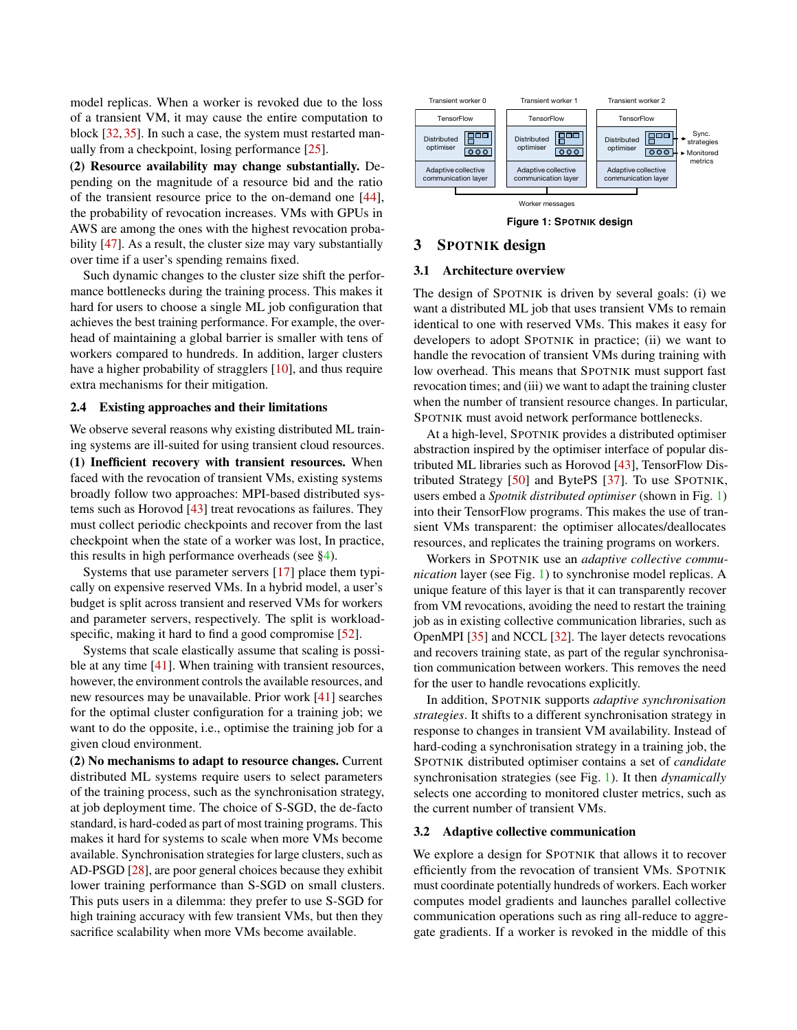model replicas. When a worker is revoked due to the loss of a transient VM, it may cause the entire computation to block [\[32,](#page-6-14) [35\]](#page-6-15). In such a case, the system must restarted manually from a checkpoint, losing performance [\[25\]](#page-6-5).

(2) Resource availability may change substantially. Depending on the magnitude of a resource bid and the ratio of the transient resource price to the on-demand one [\[44\]](#page-7-4), the probability of revocation increases. VMs with GPUs in AWS are among the ones with the highest revocation proba-bility [\[47\]](#page-7-5). As a result, the cluster size may vary substantially over time if a user's spending remains fixed.

Such dynamic changes to the cluster size shift the performance bottlenecks during the training process. This makes it hard for users to choose a single ML job configuration that achieves the best training performance. For example, the overhead of maintaining a global barrier is smaller with tens of workers compared to hundreds. In addition, larger clusters have a higher probability of stragglers [\[10\]](#page-5-8), and thus require extra mechanisms for their mitigation.

### 2.4 Existing approaches and their limitations

We observe several reasons why existing distributed ML training systems are ill-suited for using transient cloud resources.

(1) Inefficient recovery with transient resources. When faced with the revocation of transient VMs, existing systems broadly follow two approaches: MPI-based distributed systems such as Horovod [\[43\]](#page-7-0) treat revocations as failures. They must collect periodic checkpoints and recover from the last checkpoint when the state of a worker was lost, In practice, this results in high performance overheads (see  $\S$ 4).

Systems that use parameter servers [\[17\]](#page-6-3) place them typically on expensive reserved VMs. In a hybrid model, a user's budget is split across transient and reserved VMs for workers and parameter servers, respectively. The split is workload-specific, making it hard to find a good compromise [\[52\]](#page-7-6).

Systems that scale elastically assume that scaling is possible at any time [\[41\]](#page-7-7). When training with transient resources, however, the environment controls the available resources, and new resources may be unavailable. Prior work [\[41\]](#page-7-7) searches for the optimal cluster configuration for a training job; we want to do the opposite, i.e., optimise the training job for a given cloud environment.

(2) No mechanisms to adapt to resource changes. Current distributed ML systems require users to select parameters of the training process, such as the synchronisation strategy, at job deployment time. The choice of S-SGD, the de-facto standard, is hard-coded as part of most training programs. This makes it hard for systems to scale when more VMs become available. Synchronisation strategies for large clusters, such as AD-PSGD [\[28\]](#page-6-9), are poor general choices because they exhibit lower training performance than S-SGD on small clusters. This puts users in a dilemma: they prefer to use S-SGD for high training accuracy with few transient VMs, but then they sacrifice scalability when more VMs become available.

<span id="page-2-0"></span>

**Figure 1: SPOTNIK design**

## 3 SPOTNIK design

#### 3.1 Architecture overview

The design of SPOTNIK is driven by several goals: (i) we want a distributed ML job that uses transient VMs to remain identical to one with reserved VMs. This makes it easy for developers to adopt SPOTNIK in practice; (ii) we want to handle the revocation of transient VMs during training with low overhead. This means that SPOTNIK must support fast revocation times; and (iii) we want to adapt the training cluster when the number of transient resource changes. In particular, SPOTNIK must avoid network performance bottlenecks.

At a high-level, SPOTNIK provides a distributed optimiser abstraction inspired by the optimiser interface of popular distributed ML libraries such as Horovod [\[43\]](#page-7-0), TensorFlow Distributed Strategy [\[50\]](#page-7-8) and BytePS [\[37\]](#page-6-16). To use SPOTNIK, users embed a *Spotnik distributed optimiser* (shown in Fig. [1\)](#page-2-0) into their TensorFlow programs. This makes the use of transient VMs transparent: the optimiser allocates/deallocates resources, and replicates the training programs on workers.

Workers in SPOTNIK use an *adaptive collective communication* layer (see Fig. [1\)](#page-2-0) to synchronise model replicas. A unique feature of this layer is that it can transparently recover from VM revocations, avoiding the need to restart the training job as in existing collective communication libraries, such as OpenMPI [\[35\]](#page-6-15) and NCCL [\[32\]](#page-6-14). The layer detects revocations and recovers training state, as part of the regular synchronisation communication between workers. This removes the need for the user to handle revocations explicitly.

In addition, SPOTNIK supports *adaptive synchronisation strategies*. It shifts to a different synchronisation strategy in response to changes in transient VM availability. Instead of hard-coding a synchronisation strategy in a training job, the SPOTNIK distributed optimiser contains a set of *candidate* synchronisation strategies (see Fig. [1\)](#page-2-0). It then *dynamically* selects one according to monitored cluster metrics, such as the current number of transient VMs.

#### 3.2 Adaptive collective communication

We explore a design for SPOTNIK that allows it to recover efficiently from the revocation of transient VMs. SPOTNIK must coordinate potentially hundreds of workers. Each worker computes model gradients and launches parallel collective communication operations such as ring all-reduce to aggregate gradients. If a worker is revoked in the middle of this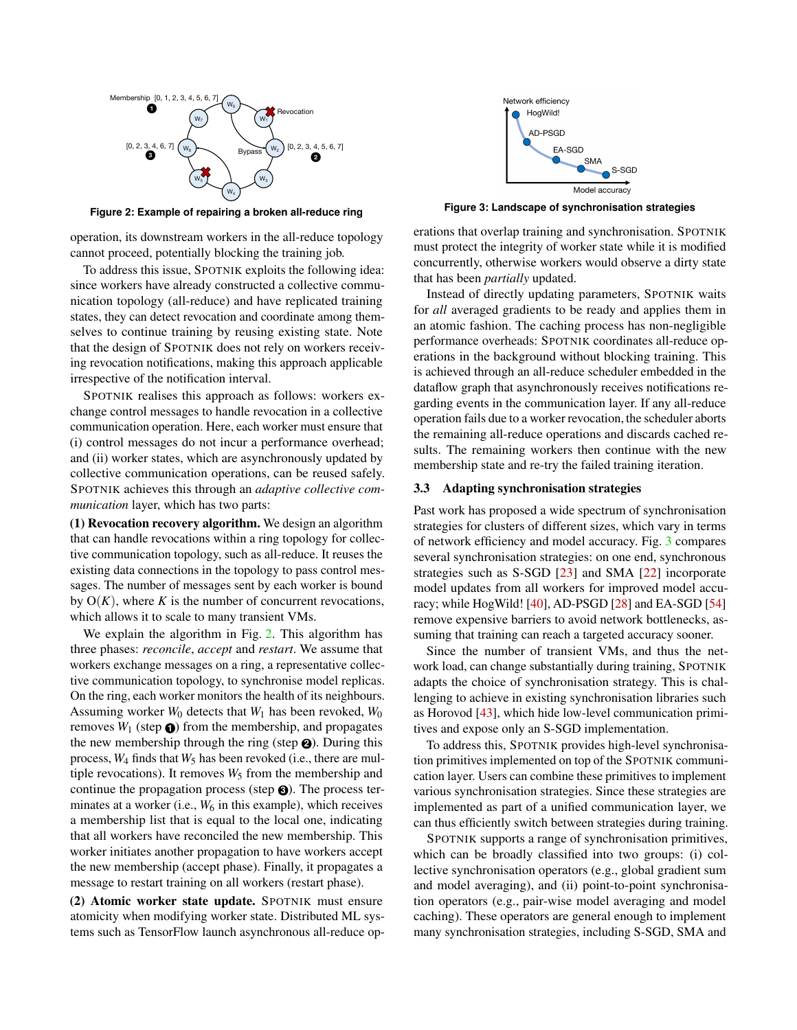<span id="page-3-0"></span>

**Figure 2: Example of repairing a broken all-reduce ring**

operation, its downstream workers in the all-reduce topology cannot proceed, potentially blocking the training job.

To address this issue, SPOTNIK exploits the following idea: since workers have already constructed a collective communication topology (all-reduce) and have replicated training states, they can detect revocation and coordinate among themselves to continue training by reusing existing state. Note that the design of SPOTNIK does not rely on workers receiving revocation notifications, making this approach applicable irrespective of the notification interval.

SPOTNIK realises this approach as follows: workers exchange control messages to handle revocation in a collective communication operation. Here, each worker must ensure that (i) control messages do not incur a performance overhead; and (ii) worker states, which are asynchronously updated by collective communication operations, can be reused safely. SPOTNIK achieves this through an *adaptive collective communication* layer, which has two parts:

(1) Revocation recovery algorithm. We design an algorithm that can handle revocations within a ring topology for collective communication topology, such as all-reduce. It reuses the existing data connections in the topology to pass control messages. The number of messages sent by each worker is bound by  $O(K)$ , where *K* is the number of concurrent revocations, which allows it to scale to many transient VMs.

We explain the algorithm in Fig. [2.](#page-3-0) This algorithm has three phases: *reconcile*, *accept* and *restart*. We assume that workers exchange messages on a ring, a representative collective communication topology, to synchronise model replicas. On the ring, each worker monitors the health of its neighbours. Assuming worker *W*<sup>0</sup> detects that *W*<sup>1</sup> has been revoked, *W*<sup>0</sup> removes  $W_1$  (step  $\odot$ ) from the membership, and propagates the new membership through the ring (step **<sup>2</sup>** ). During this process,  $W_4$  finds that  $W_5$  has been revoked (i.e., there are multiple revocations). It removes  $W_5$  from the membership and continue the propagation process (step **<sup>3</sup>** ). The process terminates at a worker (i.e.,  $W_6$  in this example), which receives a membership list that is equal to the local one, indicating that all workers have reconciled the new membership. This worker initiates another propagation to have workers accept the new membership (accept phase). Finally, it propagates a message to restart training on all workers (restart phase).

(2) Atomic worker state update. SPOTNIK must ensure atomicity when modifying worker state. Distributed ML systems such as TensorFlow launch asynchronous all-reduce op-

<span id="page-3-1"></span>

**Figure 3: Landscape of synchronisation strategies**

erations that overlap training and synchronisation. SPOTNIK must protect the integrity of worker state while it is modified concurrently, otherwise workers would observe a dirty state that has been *partially* updated.

Instead of directly updating parameters, SPOTNIK waits for *all* averaged gradients to be ready and applies them in an atomic fashion. The caching process has non-negligible performance overheads: SPOTNIK coordinates all-reduce operations in the background without blocking training. This is achieved through an all-reduce scheduler embedded in the dataflow graph that asynchronously receives notifications regarding events in the communication layer. If any all-reduce operation fails due to a worker revocation, the scheduler aborts the remaining all-reduce operations and discards cached results. The remaining workers then continue with the new membership state and re-try the failed training iteration.

#### 3.3 Adapting synchronisation strategies

Past work has proposed a wide spectrum of synchronisation strategies for clusters of different sizes, which vary in terms of network efficiency and model accuracy. Fig. [3](#page-3-1) compares several synchronisation strategies: on one end, synchronous strategies such as S-SGD [\[23\]](#page-6-2) and SMA [\[22\]](#page-6-8) incorporate model updates from all workers for improved model accuracy; while HogWild! [\[40\]](#page-6-17), AD-PSGD [\[28\]](#page-6-9) and EA-SGD [\[54\]](#page-7-9) remove expensive barriers to avoid network bottlenecks, assuming that training can reach a targeted accuracy sooner.

Since the number of transient VMs, and thus the network load, can change substantially during training, SPOTNIK adapts the choice of synchronisation strategy. This is challenging to achieve in existing synchronisation libraries such as Horovod [\[43\]](#page-7-0), which hide low-level communication primitives and expose only an S-SGD implementation.

To address this, SPOTNIK provides high-level synchronisation primitives implemented on top of the SPOTNIK communication layer. Users can combine these primitives to implement various synchronisation strategies. Since these strategies are implemented as part of a unified communication layer, we can thus efficiently switch between strategies during training.

SPOTNIK supports a range of synchronisation primitives, which can be broadly classified into two groups: (i) collective synchronisation operators (e.g., global gradient sum and model averaging), and (ii) point-to-point synchronisation operators (e.g., pair-wise model averaging and model caching). These operators are general enough to implement many synchronisation strategies, including S-SGD, SMA and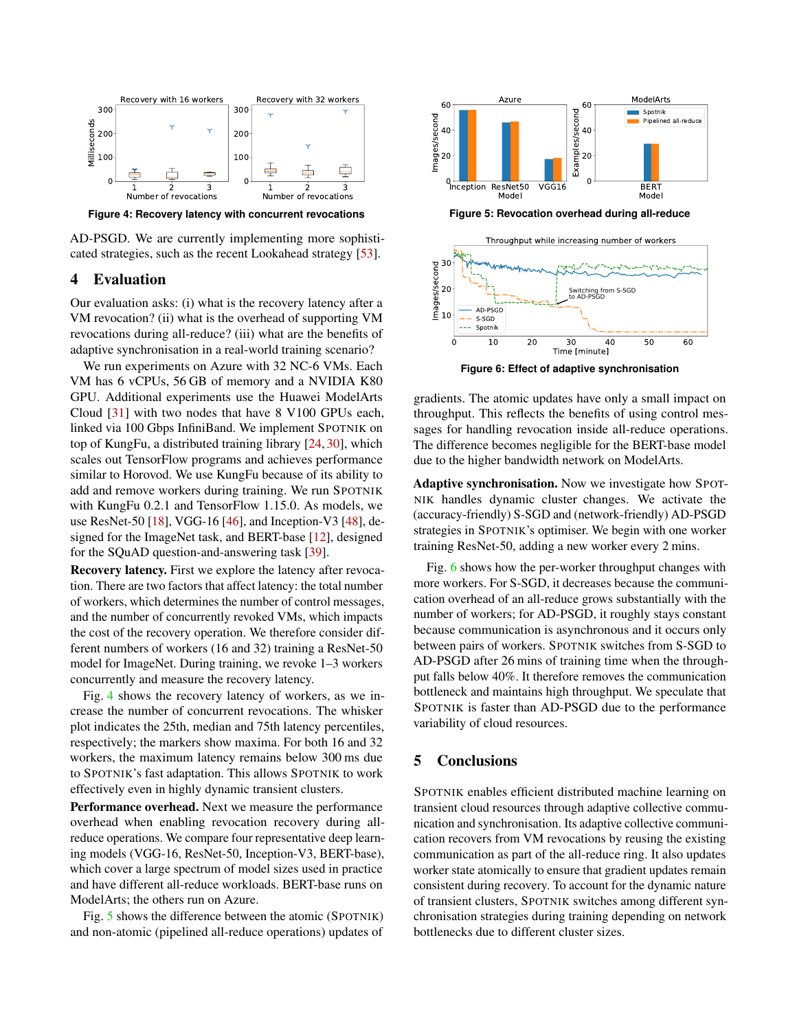<span id="page-4-1"></span>

**Figure 4: Recovery latency with concurrent revocations**

AD-PSGD. We are currently implementing more sophisticated strategies, such as the recent Lookahead strategy [\[53\]](#page-7-10).

## <span id="page-4-0"></span>4 Evaluation

Our evaluation asks: (i) what is the recovery latency after a VM revocation? (ii) what is the overhead of supporting VM revocations during all-reduce? (iii) what are the benefits of adaptive synchronisation in a real-world training scenario?

We run experiments on Azure with 32 NC-6 VMs. Each VM has 6 vCPUs, 56 GB of memory and a NVIDIA K80 GPU. Additional experiments use the Huawei ModelArts Cloud [\[31\]](#page-6-18) with two nodes that have 8 V100 GPUs each, linked via 100 Gbps InfiniBand. We implement SPOTNIK on top of KungFu, a distributed training library [\[24,](#page-6-19) [30\]](#page-6-20), which scales out TensorFlow programs and achieves performance similar to Horovod. We use KungFu because of its ability to add and remove workers during training. We run SPOTNIK with KungFu 0.2.1 and TensorFlow 1.15.0. As models, we use ResNet-50 [\[18\]](#page-6-21), VGG-16 [\[46\]](#page-7-11), and Inception-V3 [\[48\]](#page-7-12), designed for the ImageNet task, and BERT-base [\[12\]](#page-5-9), designed for the SQuAD question-and-answering task [\[39\]](#page-6-22).

Recovery latency. First we explore the latency after revocation. There are two factors that affect latency: the total number of workers, which determines the number of control messages, and the number of concurrently revoked VMs, which impacts the cost of the recovery operation. We therefore consider different numbers of workers (16 and 32) training a ResNet-50 model for ImageNet. During training, we revoke 1–3 workers concurrently and measure the recovery latency.

Fig. [4](#page-4-1) shows the recovery latency of workers, as we increase the number of concurrent revocations. The whisker plot indicates the 25th, median and 75th latency percentiles, respectively; the markers show maxima. For both 16 and 32 workers, the maximum latency remains below 300 ms due to SPOTNIK's fast adaptation. This allows SPOTNIK to work effectively even in highly dynamic transient clusters.

Performance overhead. Next we measure the performance overhead when enabling revocation recovery during allreduce operations. We compare four representative deep learning models (VGG-16, ResNet-50, Inception-V3, BERT-base), which cover a large spectrum of model sizes used in practice and have different all-reduce workloads. BERT-base runs on ModelArts; the others run on Azure.

Fig. [5](#page-4-2) shows the difference between the atomic (SPOTNIK) and non-atomic (pipelined all-reduce operations) updates of

<span id="page-4-2"></span>

**Figure 5: Revocation overhead during all-reduce**

<span id="page-4-3"></span>

**Figure 6: Effect of adaptive synchronisation**

gradients. The atomic updates have only a small impact on throughput. This reflects the benefits of using control messages for handling revocation inside all-reduce operations. The difference becomes negligible for the BERT-base model due to the higher bandwidth network on ModelArts.

Adaptive synchronisation. Now we investigate how SPOT-NIK handles dynamic cluster changes. We activate the (accuracy-friendly) S-SGD and (network-friendly) AD-PSGD strategies in SPOTNIK's optimiser. We begin with one worker training ResNet-50, adding a new worker every 2 mins.

Fig. [6](#page-4-3) shows how the per-worker throughput changes with more workers. For S-SGD, it decreases because the communication overhead of an all-reduce grows substantially with the number of workers; for AD-PSGD, it roughly stays constant because communication is asynchronous and it occurs only between pairs of workers. SPOTNIK switches from S-SGD to AD-PSGD after 26 mins of training time when the throughput falls below 40%. It therefore removes the communication bottleneck and maintains high throughput. We speculate that SPOTNIK is faster than AD-PSGD due to the performance variability of cloud resources.

# 5 Conclusions

SPOTNIK enables efficient distributed machine learning on transient cloud resources through adaptive collective communication and synchronisation. Its adaptive collective communication recovers from VM revocations by reusing the existing communication as part of the all-reduce ring. It also updates worker state atomically to ensure that gradient updates remain consistent during recovery. To account for the dynamic nature of transient clusters, SPOTNIK switches among different synchronisation strategies during training depending on network bottlenecks due to different cluster sizes.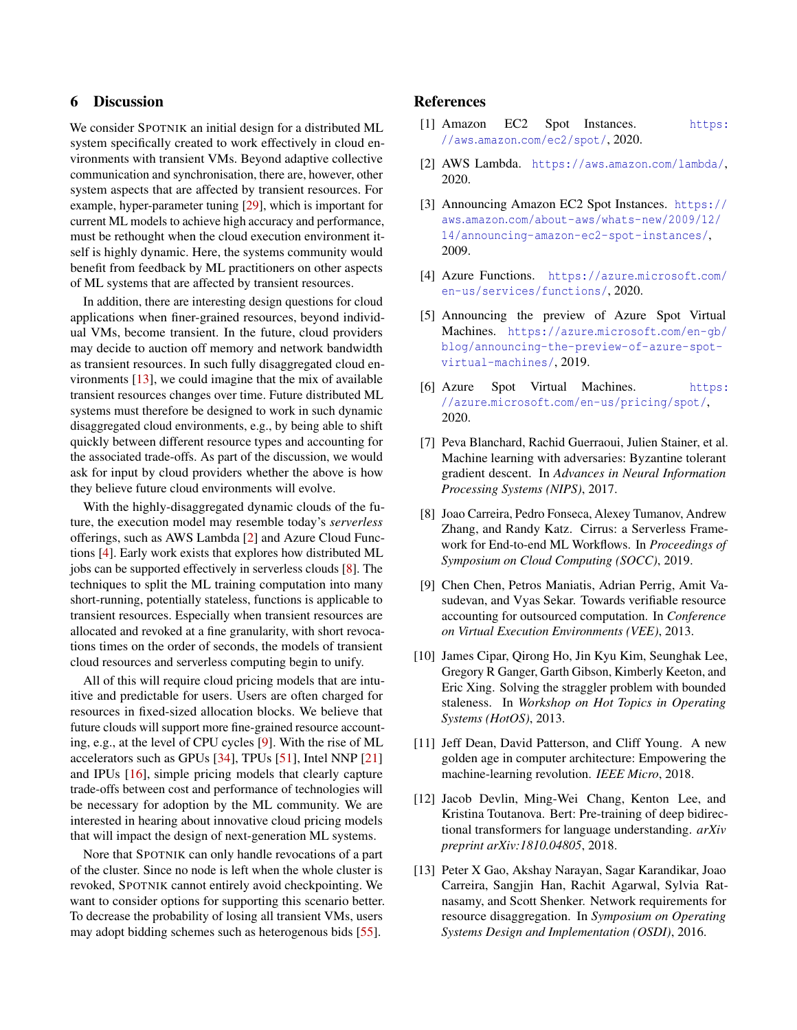# 6 Discussion

We consider SPOTNIK an initial design for a distributed ML system specifically created to work effectively in cloud environments with transient VMs. Beyond adaptive collective communication and synchronisation, there are, however, other system aspects that are affected by transient resources. For example, hyper-parameter tuning [\[29\]](#page-6-23), which is important for current ML models to achieve high accuracy and performance, must be rethought when the cloud execution environment itself is highly dynamic. Here, the systems community would benefit from feedback by ML practitioners on other aspects of ML systems that are affected by transient resources.

In addition, there are interesting design questions for cloud applications when finer-grained resources, beyond individual VMs, become transient. In the future, cloud providers may decide to auction off memory and network bandwidth as transient resources. In such fully disaggregated cloud environments [\[13\]](#page-5-10), we could imagine that the mix of available transient resources changes over time. Future distributed ML systems must therefore be designed to work in such dynamic disaggregated cloud environments, e.g., by being able to shift quickly between different resource types and accounting for the associated trade-offs. As part of the discussion, we would ask for input by cloud providers whether the above is how they believe future cloud environments will evolve.

With the highly-disaggregated dynamic clouds of the future, the execution model may resemble today's *serverless* offerings, such as AWS Lambda [\[2\]](#page-5-4) and Azure Cloud Functions [\[4\]](#page-5-5). Early work exists that explores how distributed ML jobs can be supported effectively in serverless clouds [\[8\]](#page-5-11). The techniques to split the ML training computation into many short-running, potentially stateless, functions is applicable to transient resources. Especially when transient resources are allocated and revoked at a fine granularity, with short revocations times on the order of seconds, the models of transient cloud resources and serverless computing begin to unify.

All of this will require cloud pricing models that are intuitive and predictable for users. Users are often charged for resources in fixed-sized allocation blocks. We believe that future clouds will support more fine-grained resource accounting, e.g., at the level of CPU cycles [\[9\]](#page-5-12). With the rise of ML accelerators such as GPUs [\[34\]](#page-6-24), TPUs [\[51\]](#page-7-13), Intel NNP [\[21\]](#page-6-25) and IPUs [\[16\]](#page-6-26), simple pricing models that clearly capture trade-offs between cost and performance of technologies will be necessary for adoption by the ML community. We are interested in hearing about innovative cloud pricing models that will impact the design of next-generation ML systems.

Nore that SPOTNIK can only handle revocations of a part of the cluster. Since no node is left when the whole cluster is revoked, SPOTNIK cannot entirely avoid checkpointing. We want to consider options for supporting this scenario better. To decrease the probability of losing all transient VMs, users may adopt bidding schemes such as heterogenous bids [\[55\]](#page-7-14).

# References

- <span id="page-5-3"></span>[1] Amazon EC2 Spot Instances. [https:](https://aws.amazon.com/ec2/spot/) //aws.amazon.[com/ec2/spot/](https://aws.amazon.com/ec2/spot/), 2020.
- <span id="page-5-4"></span>[2] AWS Lambda. [https://aws](https://aws.amazon.com/lambda/).amazon.com/lambda/, 2020.
- <span id="page-5-0"></span>[3] Announcing Amazon EC2 Spot Instances. [https://](https://aws.amazon.com/about-aws/whats-new/2009/12/14/announcing-amazon-ec2-spot-instances/) aws.amazon.[com/about-aws/whats-new/2009/12/](https://aws.amazon.com/about-aws/whats-new/2009/12/14/announcing-amazon-ec2-spot-instances/) [14/announcing-amazon-ec2-spot-instances/](https://aws.amazon.com/about-aws/whats-new/2009/12/14/announcing-amazon-ec2-spot-instances/), 2009.
- <span id="page-5-5"></span>[4] Azure Functions. [https://azure](https://azure.microsoft.com/en-us/services/functions/).microsoft.com/ [en-us/services/functions/](https://azure.microsoft.com/en-us/services/functions/), 2020.
- <span id="page-5-1"></span>[5] Announcing the preview of Azure Spot Virtual Machines. [https://azure](https://azure.microsoft.com/en-gb/blog/announcing-the-preview-of-azure-spot-virtual-machines/).microsoft.com/en-gb/ [blog/announcing-the-preview-of-azure-spot](https://azure.microsoft.com/en-gb/blog/announcing-the-preview-of-azure-spot-virtual-machines/)[virtual-machines/](https://azure.microsoft.com/en-gb/blog/announcing-the-preview-of-azure-spot-virtual-machines/), 2019.
- <span id="page-5-6"></span>[6] Azure Spot Virtual Machines. [https:](https://azure.microsoft.com/en-us/pricing/spot/) //azure.microsoft.[com/en-us/pricing/spot/](https://azure.microsoft.com/en-us/pricing/spot/), 2020.
- <span id="page-5-7"></span>[7] Peva Blanchard, Rachid Guerraoui, Julien Stainer, et al. Machine learning with adversaries: Byzantine tolerant gradient descent. In *Advances in Neural Information Processing Systems (NIPS)*, 2017.
- <span id="page-5-11"></span>[8] Joao Carreira, Pedro Fonseca, Alexey Tumanov, Andrew Zhang, and Randy Katz. Cirrus: a Serverless Framework for End-to-end ML Workflows. In *Proceedings of Symposium on Cloud Computing (SOCC)*, 2019.
- <span id="page-5-12"></span>[9] Chen Chen, Petros Maniatis, Adrian Perrig, Amit Vasudevan, and Vyas Sekar. Towards verifiable resource accounting for outsourced computation. In *Conference on Virtual Execution Environments (VEE)*, 2013.
- <span id="page-5-8"></span>[10] James Cipar, Qirong Ho, Jin Kyu Kim, Seunghak Lee, Gregory R Ganger, Garth Gibson, Kimberly Keeton, and Eric Xing. Solving the straggler problem with bounded staleness. In *Workshop on Hot Topics in Operating Systems (HotOS)*, 2013.
- <span id="page-5-2"></span>[11] Jeff Dean, David Patterson, and Cliff Young. A new golden age in computer architecture: Empowering the machine-learning revolution. *IEEE Micro*, 2018.
- <span id="page-5-9"></span>[12] Jacob Devlin, Ming-Wei Chang, Kenton Lee, and Kristina Toutanova. Bert: Pre-training of deep bidirectional transformers for language understanding. *arXiv preprint arXiv:1810.04805*, 2018.
- <span id="page-5-10"></span>[13] Peter X Gao, Akshay Narayan, Sagar Karandikar, Joao Carreira, Sangjin Han, Rachit Agarwal, Sylvia Ratnasamy, and Scott Shenker. Network requirements for resource disaggregation. In *Symposium on Operating Systems Design and Implementation (OSDI)*, 2016.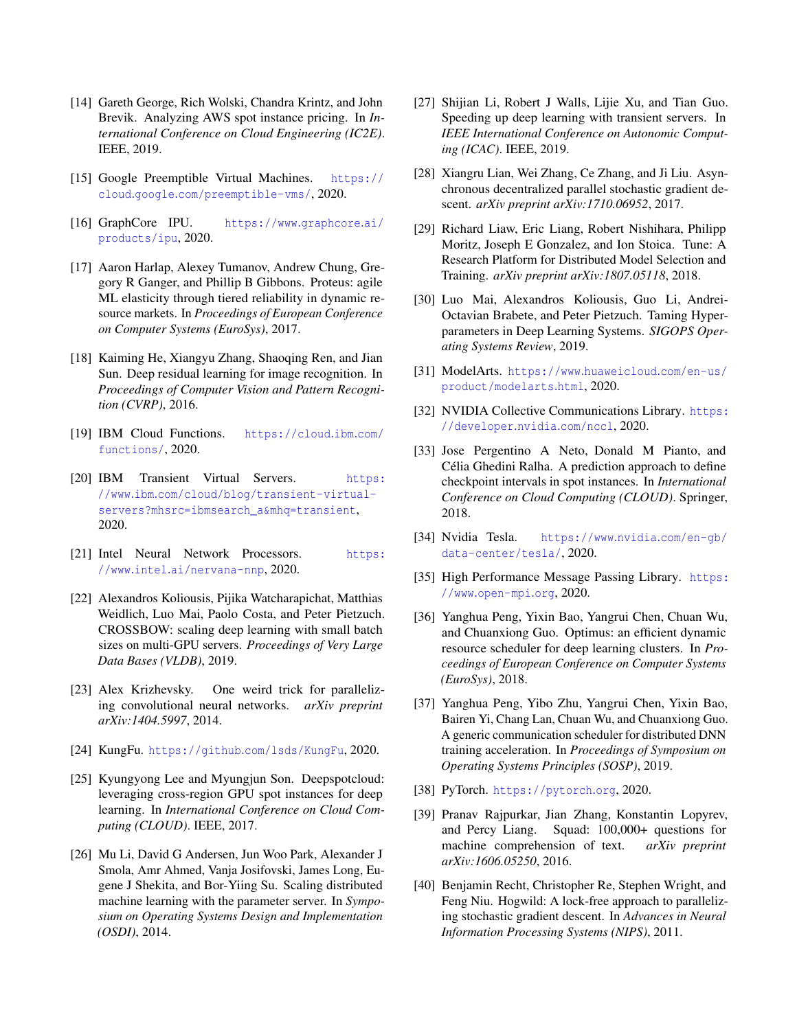- <span id="page-6-12"></span>[14] Gareth George, Rich Wolski, Chandra Krintz, and John Brevik. Analyzing AWS spot instance pricing. In *International Conference on Cloud Engineering (IC2E)*. IEEE, 2019.
- <span id="page-6-10"></span>[15] Google Preemptible Virtual Machines. [https://](https://cloud.google.com/preemptible-vms/) cloud.google.[com/preemptible-vms/](https://cloud.google.com/preemptible-vms/), 2020.
- <span id="page-6-26"></span>[16] GraphCore IPU. [https://www](https://www.graphcore.ai/products/ipu).graphcore.ai/ [products/ipu](https://www.graphcore.ai/products/ipu), 2020.
- <span id="page-6-3"></span>[17] Aaron Harlap, Alexey Tumanov, Andrew Chung, Gregory R Ganger, and Phillip B Gibbons. Proteus: agile ML elasticity through tiered reliability in dynamic resource markets. In *Proceedings of European Conference on Computer Systems (EuroSys)*, 2017.
- <span id="page-6-21"></span>[18] Kaiming He, Xiangyu Zhang, Shaoqing Ren, and Jian Sun. Deep residual learning for image recognition. In *Proceedings of Computer Vision and Pattern Recognition (CVRP)*, 2016.
- <span id="page-6-7"></span>[19] IBM Cloud Functions. [https://cloud](https://cloud.ibm.com/functions/).ibm.com/ [functions/](https://cloud.ibm.com/functions/), 2020.
- <span id="page-6-11"></span>[20] IBM Transient Virtual Servers. [https:](https://www.ibm.com/cloud/blog/transient-virtual-servers?mhsrc=ibmsearch_a&mhq=transient) //www.ibm.[com/cloud/blog/transient-virtual](https://www.ibm.com/cloud/blog/transient-virtual-servers?mhsrc=ibmsearch_a&mhq=transient)[servers?mhsrc=ibmsearch\\_a&mhq=transient](https://www.ibm.com/cloud/blog/transient-virtual-servers?mhsrc=ibmsearch_a&mhq=transient), 2020.
- <span id="page-6-25"></span>[21] Intel Neural Network Processors. [https:](https://www.intel.ai/nervana-nnp) //www.intel.[ai/nervana-nnp](https://www.intel.ai/nervana-nnp), 2020.
- <span id="page-6-8"></span>[22] Alexandros Koliousis, Pijika Watcharapichat, Matthias Weidlich, Luo Mai, Paolo Costa, and Peter Pietzuch. CROSSBOW: scaling deep learning with small batch sizes on multi-GPU servers. *Proceedings of Very Large Data Bases (VLDB)*, 2019.
- <span id="page-6-2"></span>[23] Alex Krizhevsky. One weird trick for parallelizing convolutional neural networks. *arXiv preprint arXiv:1404.5997*, 2014.
- <span id="page-6-19"></span>[24] KungFu. https://github.[com/lsds/KungFu](https://github.com/lsds/KungFu), 2020.
- <span id="page-6-5"></span>[25] Kyungyong Lee and Myungjun Son. Deepspotcloud: leveraging cross-region GPU spot instances for deep learning. In *International Conference on Cloud Computing (CLOUD)*. IEEE, 2017.
- <span id="page-6-0"></span>[26] Mu Li, David G Andersen, Jun Woo Park, Alexander J Smola, Amr Ahmed, Vanja Josifovski, James Long, Eugene J Shekita, and Bor-Yiing Su. Scaling distributed machine learning with the parameter server. In *Symposium on Operating Systems Design and Implementation (OSDI)*, 2014.
- <span id="page-6-13"></span>[27] Shijian Li, Robert J Walls, Lijie Xu, and Tian Guo. Speeding up deep learning with transient servers. In *IEEE International Conference on Autonomic Computing (ICAC)*. IEEE, 2019.
- <span id="page-6-9"></span>[28] Xiangru Lian, Wei Zhang, Ce Zhang, and Ji Liu. Asynchronous decentralized parallel stochastic gradient descent. *arXiv preprint arXiv:1710.06952*, 2017.
- <span id="page-6-23"></span>[29] Richard Liaw, Eric Liang, Robert Nishihara, Philipp Moritz, Joseph E Gonzalez, and Ion Stoica. Tune: A Research Platform for Distributed Model Selection and Training. *arXiv preprint arXiv:1807.05118*, 2018.
- <span id="page-6-20"></span>[30] Luo Mai, Alexandros Koliousis, Guo Li, Andrei-Octavian Brabete, and Peter Pietzuch. Taming Hyperparameters in Deep Learning Systems. *SIGOPS Operating Systems Review*, 2019.
- <span id="page-6-18"></span>[31] ModelArts. [https://www](https://www.huaweicloud.com/en-us/product/modelarts.html).huaweicloud.com/en-us/ [product/modelarts](https://www.huaweicloud.com/en-us/product/modelarts.html).html, 2020.
- <span id="page-6-14"></span>[32] NVIDIA Collective Communications Library. [https:](https://developer.nvidia.com/nccl) [//developer](https://developer.nvidia.com/nccl).nvidia.com/nccl, 2020.
- <span id="page-6-6"></span>[33] Jose Pergentino A Neto, Donald M Pianto, and Célia Ghedini Ralha. A prediction approach to define checkpoint intervals in spot instances. In *International Conference on Cloud Computing (CLOUD)*. Springer, 2018.
- <span id="page-6-24"></span>[34] Nvidia Tesla. [https://www](https://www.nvidia.com/en-gb/data-center/tesla/).nvidia.com/en-gb/ [data-center/tesla/](https://www.nvidia.com/en-gb/data-center/tesla/), 2020.
- <span id="page-6-15"></span>[35] High Performance Message Passing Library. [https:](https://www.open-mpi.org) //www.[open-mpi](https://www.open-mpi.org).org, 2020.
- <span id="page-6-4"></span>[36] Yanghua Peng, Yixin Bao, Yangrui Chen, Chuan Wu, and Chuanxiong Guo. Optimus: an efficient dynamic resource scheduler for deep learning clusters. In *Proceedings of European Conference on Computer Systems (EuroSys)*, 2018.
- <span id="page-6-16"></span>[37] Yanghua Peng, Yibo Zhu, Yangrui Chen, Yixin Bao, Bairen Yi, Chang Lan, Chuan Wu, and Chuanxiong Guo. A generic communication scheduler for distributed DNN training acceleration. In *Proceedings of Symposium on Operating Systems Principles (SOSP)*, 2019.
- <span id="page-6-1"></span>[38] PyTorch. [https://pytorch](https://pytorch.org).org, 2020.
- <span id="page-6-22"></span>[39] Pranav Rajpurkar, Jian Zhang, Konstantin Lopyrev, and Percy Liang. Squad: 100,000+ questions for machine comprehension of text. *arXiv preprint arXiv:1606.05250*, 2016.
- <span id="page-6-17"></span>[40] Benjamin Recht, Christopher Re, Stephen Wright, and Feng Niu. Hogwild: A lock-free approach to parallelizing stochastic gradient descent. In *Advances in Neural Information Processing Systems (NIPS)*, 2011.